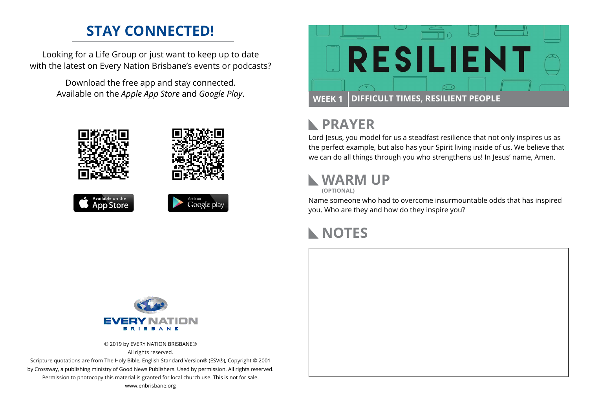### **STAY CONNECTED!**

Looking for a Life Group or just want to keep up to date with the latest on Every Nation Brisbane's events or podcasts?

> Download the free app and stay connected. Available on the *Apple App Store* and *Google Play*.





#### **PRAYER**  $\mathbb{R}$

Lord Jesus, you model for us a steadfast resilience that not only inspires us as the perfect example, but also has your Spirit living inside of us. We believe that we can do all things through you who strengthens us! In Jesus' name, Amen.

# **WARM UP**

**(OPTIONAL)**

Name someone who had to overcome insurmountable odds that has inspired you. Who are they and how do they inspire you?

## **NOTES**



© 2019 by EVERY NATION BRISBANE® All rights reserved.

Scripture quotations are from The Holy Bible, English Standard Version® (ESV®), Copyright © 2001 by Crossway, a publishing ministry of Good News Publishers. Used by permission. All rights reserved. Permission to photocopy this material is granted for local church use. This is not for sale. www.enbrisbane.org